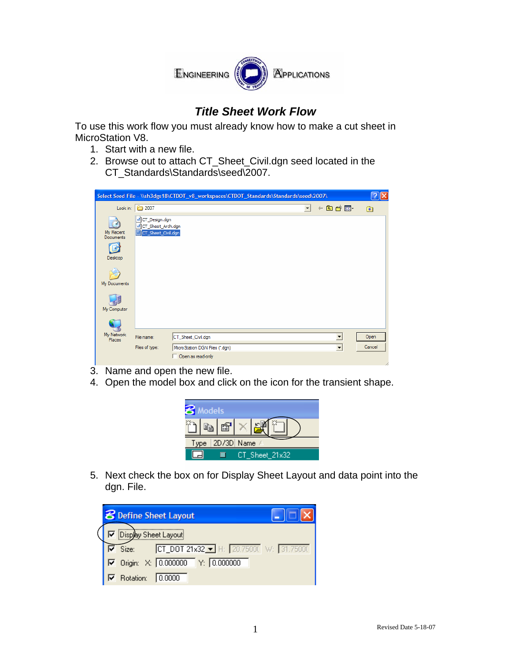

## *Title Sheet Work Flow*

To use this work flow you must already know how to make a cut sheet in MicroStation V8.

- 1. Start with a new file.
- 2. Browse out to attach CT\_Sheet\_Civil.dgn seed located in the CT\_Standards\Standards\seed\2007.

|                                   |                                                                       |                                                     | Select Seed File - \\sh3dgs18\CTDOT_v8_workspaces\CTDOT_Standards\Standards\seed\2007\ |                         |                     |               |
|-----------------------------------|-----------------------------------------------------------------------|-----------------------------------------------------|----------------------------------------------------------------------------------------|-------------------------|---------------------|---------------|
|                                   | Look in: 2007                                                         |                                                     |                                                                                        | $\vert \bm{\tau} \vert$ | 白普丽<br>$\leftarrow$ | $\circledast$ |
| My Recent<br>Documents<br>Desktop | d CT_Design.dgn<br>d CT_Sheet_Arch.dgn<br><b>R</b> CT_Sheet_Civil.dgn |                                                     |                                                                                        |                         |                     |               |
| My Documents<br>My Computer       |                                                                       |                                                     |                                                                                        |                         |                     |               |
| My Network                        |                                                                       |                                                     |                                                                                        |                         |                     |               |
| Places                            | File name:                                                            | CT_Sheet_Civil.dgn                                  |                                                                                        |                         | ▼                   | Open          |
|                                   | Files of type:                                                        | MicroStation DGN Files (*.dgn)<br>Open as read-only |                                                                                        |                         | ▾                   | Cancel        |

- 3. Name and open the new file.
- 4. Open the model box and click on the icon for the transient shape.



 5. Next check the box on for Display Sheet Layout and data point into the dgn. File.

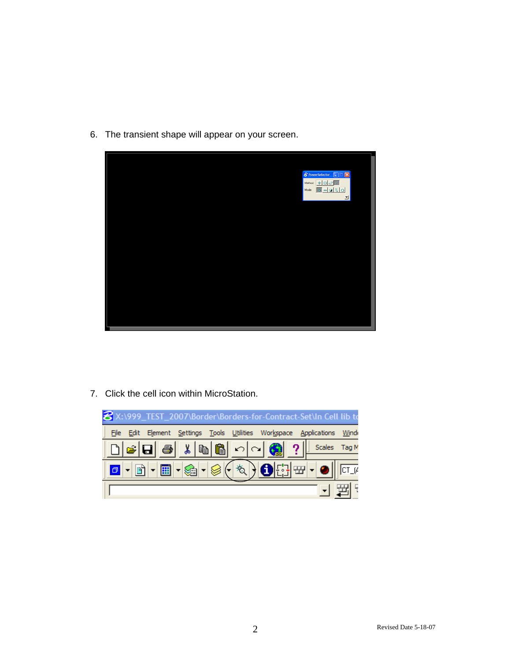6. The transient shape will appear on your screen.



7. Click the cell icon within MicroStation.

| 8 X:\999_TEST_2007\Border\Borders-for-Contract-Set\In Cell lib to                                                                                                                                                                                                                                                                                                                                                                                                                                                |    |
|------------------------------------------------------------------------------------------------------------------------------------------------------------------------------------------------------------------------------------------------------------------------------------------------------------------------------------------------------------------------------------------------------------------------------------------------------------------------------------------------------------------|----|
| Edit Element Settings Tools Utilities Workspace Applications Wind<br>File                                                                                                                                                                                                                                                                                                                                                                                                                                        |    |
| $\mathcal{B}[\mathbf{G}]\otimes\mathbf{K}[\mathbf{B}]\otimes\mathbf{K}$ $\mathcal{B}[\mathbf{G}]$ $\mathcal{C}[\mathbf{G}]$ $\mathcal{D}[\mathbf{G}]$ . Scales Tag M                                                                                                                                                                                                                                                                                                                                             |    |
| $\text{Tr}\left[\mathbf{E}\right] = \mathbf{E}\left[\mathbf{E}\right] = \mathbf{E}\left[\mathbf{E}\right] + \mathbf{E}\left[\mathbf{E}\right] + \mathbf{E}\left[\mathbf{E}\right] + \mathbf{E}\left[\mathbf{E}\right] + \mathbf{E}\left[\mathbf{E}\right] + \mathbf{E}\left[\mathbf{E}\right] + \mathbf{E}\left[\mathbf{E}\right] + \mathbf{E}\left[\mathbf{E}\right] + \mathbf{E}\left[\mathbf{E}\right] + \mathbf{E}\left[\mathbf{E}\right] + \mathbf{E}\left[\mathbf{E}\right] + \mathbf{E}\left[\mathbf{E}\$ |    |
|                                                                                                                                                                                                                                                                                                                                                                                                                                                                                                                  | 돼도 |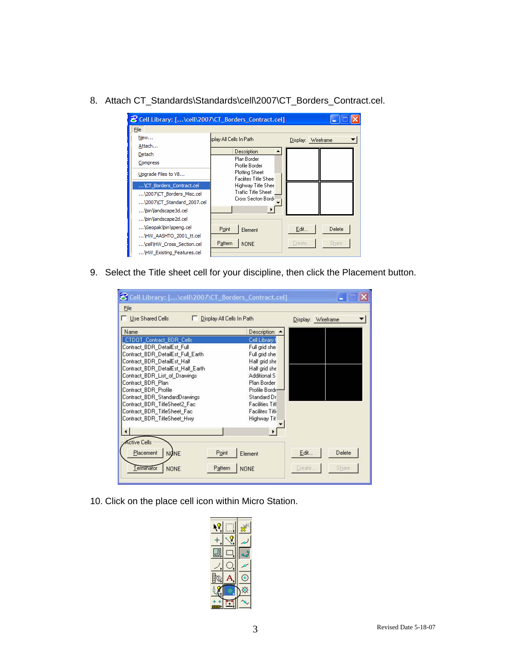8. Attach CT\_Standards\Standards\cell\2007\CT\_Borders\_Contract.cel.

| 8 Cell Library: [\cell\2007\CT_Borders_Contract.cel] |                                               |                    |        |  |
|------------------------------------------------------|-----------------------------------------------|--------------------|--------|--|
| File                                                 |                                               |                    |        |  |
| New                                                  | splay All Cells In Path                       | Display: Wireframe |        |  |
| Attach                                               |                                               |                    |        |  |
| Detach                                               | Description                                   |                    |        |  |
| Compress                                             | Plan Border<br>Profile Border                 |                    |        |  |
| Upgrade Files to V8                                  | Plotting Sheet<br><b>Facilites Title Shee</b> |                    |        |  |
| \CT_Borders_Contract.cel                             | Highway Title Shee                            |                    |        |  |
| \2007\CT Borders Misc.cel                            | Traffic Title Sheet                           |                    |        |  |
| \2007\CT_Standard_2007.cel                           | Cross Secton Bord                             |                    |        |  |
| \bin\landscape3d.cel                                 | $\bullet$                                     |                    |        |  |
| \bin\Jandscape2d.cel                                 |                                               |                    |        |  |
| \Geopak\bin\speng.cel                                | Point<br>Element                              | Edit               | Delete |  |
| HW AASHTO 2001 tt.cel                                |                                               |                    |        |  |
| \cell\HW_Cross_Section.cel                           | Pattern<br><b>NONE</b>                        | Create             | Share  |  |
| HW Existing Features.cel                             |                                               |                    |        |  |

9. Select the Title sheet cell for your discipline, then click the Placement button.

| 8 Cell Library: [\cell\2007\CT_Borders_Contract.cel] |                                |  |
|------------------------------------------------------|--------------------------------|--|
| File                                                 |                                |  |
| Use Shared Cells<br>Display All Cells In Path        | Display: Wireframe             |  |
| <b>Name</b>                                          | Description                    |  |
| CTDOT Contract_BDR_Cells                             | Cell Library f                 |  |
| Contract_BDR_DetailEst_Full                          | Full grid she                  |  |
| Contract BDR DetailEst Full Earth                    | Full grid she                  |  |
| Contract BDR DetailEst Half                          | Half grid she                  |  |
| Contract BDR DetailEst Half Earth                    | Half grid she                  |  |
| Contract BDR List of Drawings                        | Additional S                   |  |
| Contract_BDR_Plan                                    | Plan Border                    |  |
| Contract_BDR_Profile                                 | Profile Borde                  |  |
| Contract BDR StandardDrawings                        | Standard Dr                    |  |
| Contract BDR TitleSheet2 Fac                         | <b>Facilities Titl</b>         |  |
| Contract_BDR_TitleSheet_Fac                          | Facilites Titli                |  |
| Contract_BDR_TitleSheet_Hwy                          | Highway Tit                    |  |
|                                                      |                                |  |
|                                                      |                                |  |
| ctive Cells                                          |                                |  |
| Placement<br>Point<br><b>NONE</b>                    | Delete<br>Edit<br>Element      |  |
| Terminator<br><b>NONE</b><br>Pattern                 | Share<br>Create<br><b>NONE</b> |  |
|                                                      |                                |  |

10. Click on the place cell icon within Micro Station.

| F |  |  |  |
|---|--|--|--|
|   |  |  |  |
|   |  |  |  |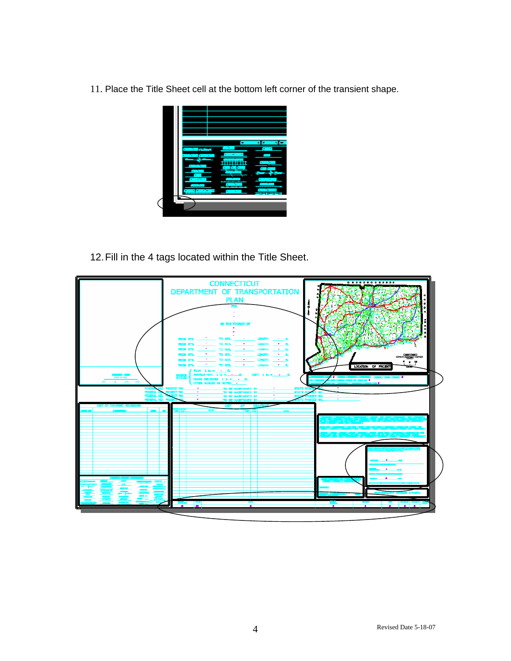11. Place the Title Sheet cell at the bottom left corner of the transient shape.



12. Fill in the 4 tags located within the Title Sheet.